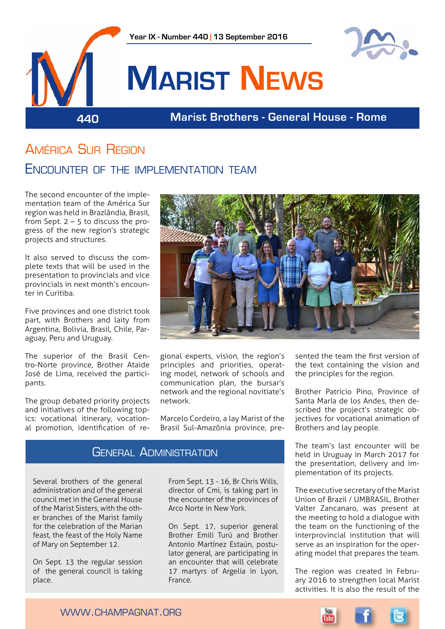

### América Sur Region ENCOUNTER OF THE IMPI EMENTATION TEAM

The second encounter of the implementation team of the América Sur region was held in Brazlândia, Brasil, from Sept.  $2 - 5$  to discuss the progress of the new region's strategic projects and structures.

It also served to discuss the complete texts that will be used in the presentation to provincials and vice provincials in next month's encounter in Curitiba.

Five provinces and one district took part, with Brothers and laity from Argentina, Bolivia, Brasil, Chile, Paraguay, Peru and Uruguay.

The superior of the Brasil Centro-Norte province, Brother Ataide José de Lima, received the participants.

The group debated priority projects and initiatives of the following topics: vocational itinerary, vocational promotion, identification of re-



gional experts, vision, the region's principles and priorities, operating model, network of schools and communication plan, the bursar's network and the regional novitiate's network.

Marcelo Cordeiro, a lay Marist of the Brasil Sul-Amazônia province, pre-

### General Administration

Several brothers of the general administration and of the general council met in the General House of the Marist Sisters, with the other branches of the Marist family for the celebration of the Marian feast, the feast of the Holy Name of Mary on September 12.

On Sept. 13 the regular session of the general council is taking place.

From Sept. 13 - 16, Br Chris Wills, director of Cmi, is taking part in the encounter of the provinces of Arco Norte in New York.

On Sept. 17, superior general Brother Emili Turú and Brother Antonio Martínez Estaún, postulator general, are participating in an encounter that will celebrate 17 martyrs of Argelia in Lyon, France.

sented the team the first version of the text containing the vision and the principles for the region.

Brother Patricio Pino, Province of Santa María de los Andes, then described the project's strategic objectives for vocational animation of Brothers and lay people.

The team's last encounter will be held in Uruguay in March 2017 for the presentation, delivery and implementation of its projects.

The executive secretary of the Marist Union of Brazil / UMBRASIL, Brother Valter Zancanaro, was present at the meeting to hold a dialogue with the team on the functioning of the interprovincial institution that will serve as an inspiration for the operating model that prepares the team.

The region was created in February 2016 to strengthen local Marist activities. It is also the result of the

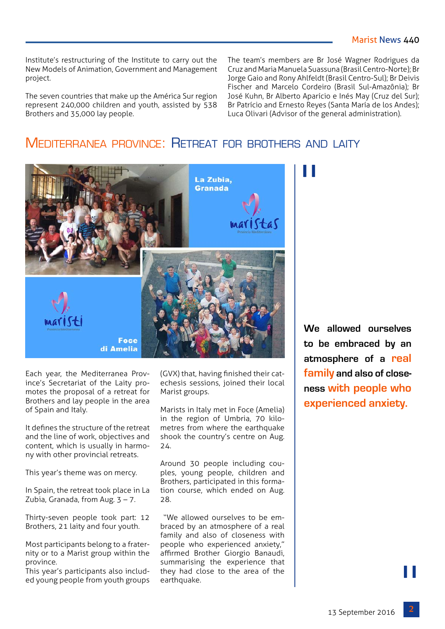Institute's restructuring of the Institute to carry out the New Models of Animation, Government and Management project.

The seven countries that make up the América Sur region represent 240,000 children and youth, assisted by 538 Brothers and 35,000 lay people.

The team's members are Br José Wagner Rodrigues da Cruz and Maria Manuela Suassuna (Brasil Centro-Norte); Br Jorge Gaio and Rony Ahlfeldt (Brasil Centro-Sul); Br Deivis Fischer and Marcelo Cordeiro (Brasil Sul-Amazônia); Br José Kuhn, Br Alberto Aparício e Inés May (Cruz del Sur); Br Patrício and Ernesto Reyes (Santa María de los Andes); Luca Olivari (Advisor of the general administration).

### MEDITERRANEA PROVINCE: RETREAT FOR BROTHERS AND LAITY



Each year, the Mediterranea Province's Secretariat of the Laity promotes the proposal of a retreat for Brothers and lay people in the area of Spain and Italy.

It defines the structure of the retreat and the line of work, objectives and content, which is usually in harmony with other provincial retreats.

This year's theme was on mercy.

In Spain, the retreat took place in La Zubia, Granada, from Aug.  $3 - 7$ .

Thirty-seven people took part: 12 Brothers, 21 laity and four youth.

Most participants belong to a fraternity or to a Marist group within the province.

This year's participants also included young people from youth groups (GVX) that, having finished their catechesis sessions, joined their local Marist groups.

Marists in Italy met in Foce (Amelia) in the region of Umbria, 70 kilometres from where the earthquake shook the country's centre on Aug. 24.

Around 30 people including couples, young people, children and Brothers, participated in this formation course, which ended on Aug. 28.

 "We allowed ourselves to be embraced by an atmosphere of a real family and also of closeness with people who experienced anxiety," affirmed Brother Giorgio Banaudi, summarising the experience that they had close to the area of the earthquake.

**We allowed ourselves to be embraced by an atmosphere of a real family and also of closeness with people who experienced anxiety.**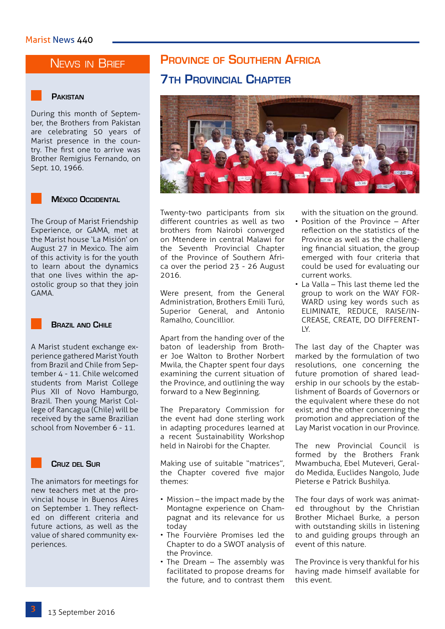### NEWS IN BRIEF

### **Pakistan**

During this month of September, the Brothers from Pakistan are celebrating 50 years of Marist presence in the country. The first one to arrive was Brother Remigius Fernando, on Sept. 10, 1966.

### **México Occidental**

The Group of Marist Friendship Experience, or GAMA, met at the Marist house 'La Misión' on August 27 in Mexico. The aim of this activity is for the youth to learn about the dynamics that one lives within the apostolic group so that they join GAMA.

### **Brazil and Chile**

A Marist student exchange experience gathered Marist Youth from Brazil and Chile from September 4 - 11. Chile welcomed students from Marist College Pius XII of Novo Hamburgo, Brazil. Then young Marist College of Rancagua (Chile) will be received by the same Brazilian school from November 6 - 11.

### **Cruz del Sur**

The animators for meetings for new teachers met at the provincial house in Buenos Aires on September 1. They reflected on different criteria and future actions, as well as the value of shared community experiences.

### **Province of Southern Africa 7th Provincial Chapter**



Twenty-two participants from six different countries as well as two brothers from Nairobi converged on Mtendere in central Malawi for the Seventh Provincial Chapter of the Province of Southern Africa over the period 23 - 26 August 2016.

Were present, from the General Administration, Brothers Emili Turú, Superior General, and Antonio Ramalho, Councillior.

Apart from the handing over of the baton of leadership from Brother Joe Walton to Brother Norbert Mwila, the Chapter spent four days examining the current situation of the Province, and outlining the way forward to a New Beginning.

The Preparatory Commission for the event had done sterling work in adapting procedures learned at a recent Sustainability Workshop held in Nairobi for the Chapter.

Making use of suitable "matrices", the Chapter covered five major themes:

- Mission the impact made by the Montagne experience on Champagnat and its relevance for us today
- The Fourvière Promises led the Chapter to do a SWOT analysis of the Province.
- The Dream The assembly was facilitated to propose dreams for the future, and to contrast them

with the situation on the ground.

- Position of the Province After reflection on the statistics of the Province as well as the challenging financial situation, the group emerged with four criteria that could be used for evaluating our current works.
- La Valla This last theme led the group to work on the WAY FOR-WARD using key words such as ELIMINATE, REDUCE, RAISE/IN-CREASE, CREATE, DO DIFFERENT- $IX.$

The last day of the Chapter was marked by the formulation of two resolutions, one concerning the future promotion of shared leadership in our schools by the establishment of Boards of Governors or the equivalent where these do not exist; and the other concerning the promotion and appreciation of the Lay Marist vocation in our Province.

The new Provincial Council is formed by the Brothers Frank Mwambucha, Ebel Muteveri, Geraldo Medida, Euclides Nangolo, Jude Pieterse e Patrick Bushilya.

The four days of work was animated throughout by the Christian Brother Michael Burke, a person with outstanding skills in listening to and guiding groups through an event of this nature.

The Province is very thankful for his having made himself available for this event.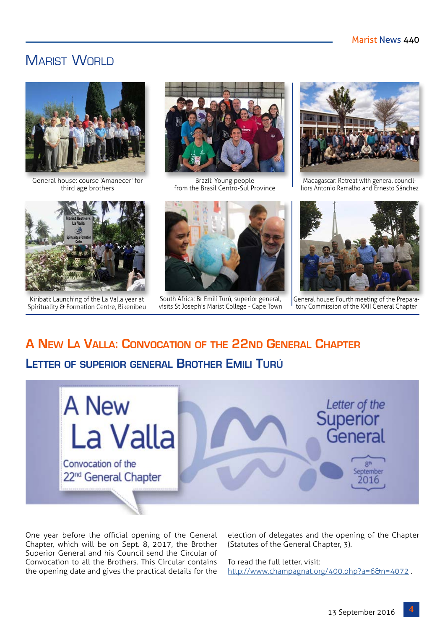### MARIST WORLD



General house: course 'Amanecer' for third age brothers



Kiribati: Launching of the La Valla year at Spirituality & Formation Centre, Bikenibeu



Brazil: Young people from the Brasil Centro-Sul Province



South Africa: Br Emili Turú, superior general, visits St Joseph's Marist College - Cape Town



Madagascar: Retreat with general councilliors Antonio Ramalho and Ernesto Sánchez



General house: Fourth meeting of the Preparatory Commission of the XXII General Chapter

## **A New La Valla: Convocation of the 22nd General Chapter**

### **Letter of superior general Brother Emili Turú**



One year before the official opening of the General Chapter, which will be on Sept. 8, 2017, the Brother Superior General and his Council send the Circular of Convocation to all the Brothers. This Circular contains the opening date and gives the practical details for the

election of delegates and the opening of the Chapter (Statutes of the General Chapter, 3).

To read the full letter, visit: <http://www.champagnat.org/400.php?a=6&n=4072> .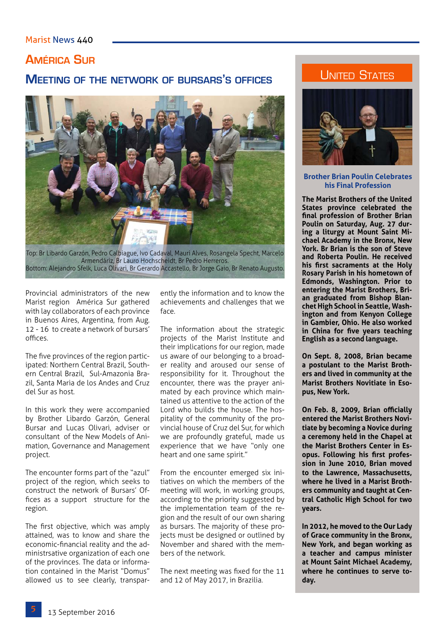### Marist News 440

### **América Sur**

### **Meeting of the network of bursars's offices**



Top: Br Libardo Garzón, Pedro Calbiague, Ivo Cadaval, Mauri Alves, Rosangela Specht, Marcelo Armendáriz, Br Lauro Hochscheidt, Br Pedro Herreros. Bottom: Alejandro Sfelk, Luca Olivari, Br Gerardo Accastello, Br Jorge Gaio, Br Renato Augusto.

Provincial administrators of the new Marist region América Sur gathered with lay collaborators of each province in Buenos Aires, Argentina, from Aug. 12 - 16 to create a network of bursars' offices.

The five provinces of the region participated: Northern Central Brazil, Southern Central Brazil, Sul-Amazonia Brazil, Santa Maria de los Andes and Cruz del Sur as host.

In this work they were accompanied by Brother Libardo Garzón, General Bursar and Lucas Olivari, adviser or consultant of the New Models of Animation, Governance and Management project.

The encounter forms part of the "azul" project of the region, which seeks to construct the network of Bursars' Offices as a support structure for the region.

The first objective, which was amply attained, was to know and share the economic-financial reality and the administrsative organization of each one of the provinces. The data or information contained in the Marist "Domus" allowed us to see clearly, transparently the information and to know the achievements and challenges that we face.

The information about the strategic projects of the Marist Institute and their implications for our region, made us aware of our belonging to a broader reality and aroused our sense of responsibility for it. Throughout the encounter, there was the prayer animated by each province which maintained us attentive to the action of the Lord who builds the house. The hospitality of the community of the provincial house of Cruz del Sur, for which we are profoundly grateful, made us experience that we have "only one heart and one same spirit."

From the encounter emerged six initiatives on which the members of the meeting will work, in working groups, according to the priority suggested by the implementation team of the region and the result of our own sharing as bursars. The majority of these projects must be designed or outlined by November and shared with the members of the network.

The next meeting was fixed for the 11 and 12 of May 2017, in Brazilia.

### **UNITED STATES**



**Brother Brian Poulin Celebrates his Final Profession**

**The Marist Brothers of the United States province celebrated the final profession of Brother Brian Poulin on Saturday, Aug. 27 during a liturgy at Mount Saint Michael Academy in the Bronx, New York. Br Brian is the son of Steve and Roberta Poulin. He received his first sacraments at the Holy Rosary Parish in his hometown of Edmonds, Washington. Prior to entering the Marist Brothers, Brian graduated from Bishop Blanchet High School in Seattle, Washington and from Kenyon College in Gambier, Ohio. He also worked in China for five years teaching English as a second language.**

**On Sept. 8, 2008, Brian became a postulant to the Marist Brothers and lived in community at the Marist Brothers Novitiate in Esopus, New York.**

**On Feb. 8, 2009, Brian officially entered the Marist Brothers Novitiate by becoming a Novice during a ceremony held in the Chapel at the Marist Brothers Center in Esopus. Following his first profession in June 2010, Brian moved to the Lawrence, Massachusetts, where he lived in a Marist Brothers community and taught at Central Catholic High School for two years.**

**In 2012, he moved to the Our Lady of Grace community in the Bronx, New York, and began working as a teacher and campus minister at Mount Saint Michael Academy, where he continues to serve today.**